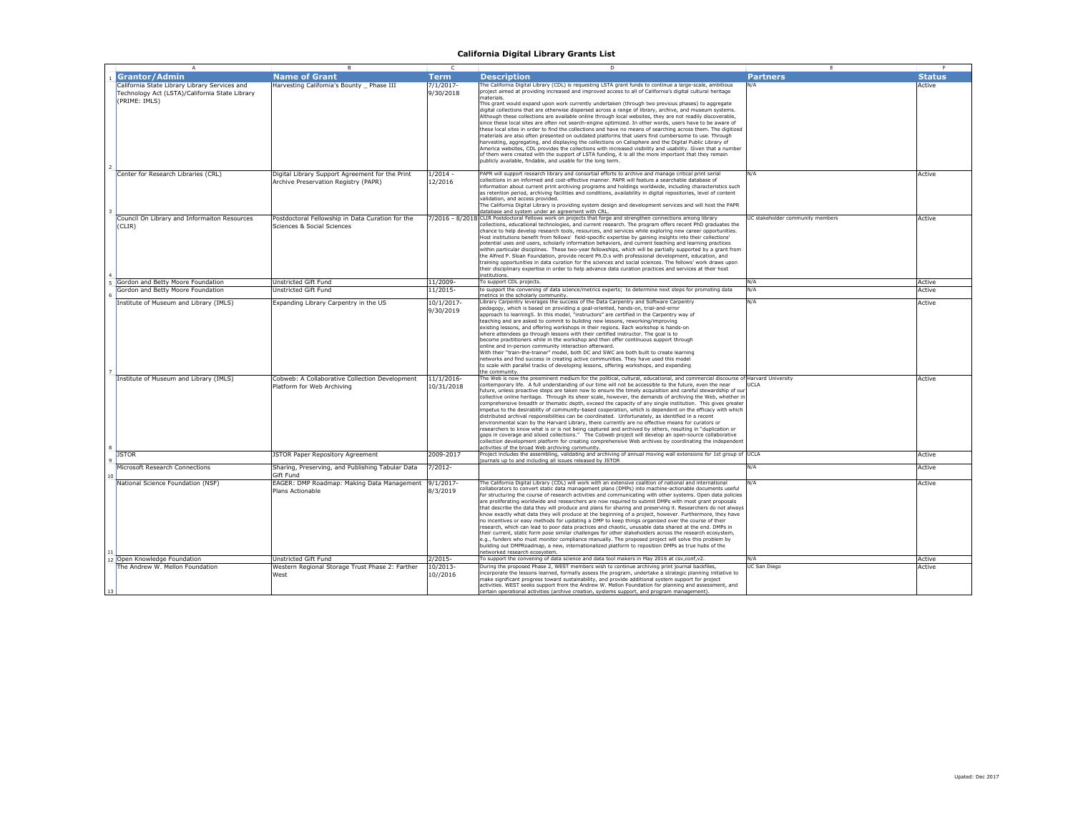| $\overline{A}$                                 | в                                                    | c            | D                                                                                                                                                                                                                                        |                                  |               |
|------------------------------------------------|------------------------------------------------------|--------------|------------------------------------------------------------------------------------------------------------------------------------------------------------------------------------------------------------------------------------------|----------------------------------|---------------|
| <b>Grantor/Admin</b>                           | <b>Name of Grant</b>                                 | <b>Term</b>  | <b>Description</b>                                                                                                                                                                                                                       | <b>Partners</b>                  | <b>Status</b> |
| California State Library Library Services and  | Harvesting California's Bounty Phase III             | $7/1/2017$ - | The California Digital Library (CDL) is requesting LSTA grant funds to continue a large-scale, ambitious                                                                                                                                 | N/A                              | Active        |
| Technology Act (LSTA)/California State Library |                                                      | 9/30/2018    | project aimed at providing increased and improved access to all of California's digital cultural heritage                                                                                                                                |                                  |               |
| (PRIME: IMLS)                                  |                                                      |              | materials.<br>This grant would expand upon work currently undertaken (through two previous phases) to aggregate                                                                                                                          |                                  |               |
|                                                |                                                      |              | digital collections that are otherwise dispersed across a range of library, archive, and museum systems.                                                                                                                                 |                                  |               |
|                                                |                                                      |              | Although these collections are available online through local websites, they are not readily discoverable.                                                                                                                               |                                  |               |
|                                                |                                                      |              | since these local sites are often not search-engine optimized. In other words, users have to be aware of                                                                                                                                 |                                  |               |
|                                                |                                                      |              | these local sites in order to find the collections and have no means of searching across them. The digitized<br>materials are also often presented on outdated platforms that users find cumbersome to use. Through                      |                                  |               |
|                                                |                                                      |              | harvesting, aggregating, and displaying the collections on Calisphere and the Digital Public Library of                                                                                                                                  |                                  |               |
|                                                |                                                      |              | America websites. CDL provides the collections with increased visibility and usability. Given that a number                                                                                                                              |                                  |               |
|                                                |                                                      |              | of them were created with the support of LSTA funding, it is all the more important that they remain                                                                                                                                     |                                  |               |
|                                                |                                                      |              | publicly available, findable, and usable for the long term.                                                                                                                                                                              |                                  |               |
| Center for Research Libraries (CRL)            | Digital Library Support Agreement for the Print      | $1/2014 -$   | PAPR will support research library and consortial efforts to archive and manage critical print serial                                                                                                                                    | N/A                              | Active        |
|                                                | Archive Preservation Registry (PAPR)                 | 12/2016      | collections in an informed and cost-effective manner. PAPR will feature a searchable database of                                                                                                                                         |                                  |               |
|                                                |                                                      |              | information about current print archiving programs and holdings worldwide, including characteristics such                                                                                                                                |                                  |               |
|                                                |                                                      |              | as retention period, archiving facilities and conditions, availability in digital repositories, level of content<br>validation, and access provided.                                                                                     |                                  |               |
|                                                |                                                      |              | The California Digital Library is providing system design and development services and will host the PAPR                                                                                                                                |                                  |               |
|                                                |                                                      |              | database and system under an agreement with CRL                                                                                                                                                                                          |                                  |               |
| Council On Library and Informaiton Resources   | Postdoctoral Fellowship in Data Curation for the     |              | 7/2016 - 8/2018 CLIR Postdoctoral Fellows work on projects that forge and strengthen connections among library                                                                                                                           | UC stakeholder community members | Active        |
| (CLIR)                                         | Sciences & Social Sciences                           |              | collections, educational technologies, and current research. The program offers recent PhD graduates the<br>chance to help develop research tools, resources, and services while exploring new career opportunities.                     |                                  |               |
|                                                |                                                      |              | Host institutions benefit from fellows' field-specific expertise by gaining insights into their collections'                                                                                                                             |                                  |               |
|                                                |                                                      |              | potential uses and users, scholarly information behaviors, and current teaching and learning practices                                                                                                                                   |                                  |               |
|                                                |                                                      |              | within particular disciplines. These two-year fellowships, which will be partially supported by a grant from                                                                                                                             |                                  |               |
|                                                |                                                      |              | the Alfred P. Sloan Foundation, provide recent Ph.D.s with professional development, education, and<br>training opportunities in data curation for the sciences and social sciences. The fellows' work draws upon                        |                                  |               |
|                                                |                                                      |              | their disciplinary expertise in order to help advance data curation practices and services at their host                                                                                                                                 |                                  |               |
|                                                |                                                      |              | institutions.                                                                                                                                                                                                                            |                                  |               |
| Gordon and Betty Moore Foundation              | Unstricted Gift Fund                                 | 11/2009-     | To support CDL projects.                                                                                                                                                                                                                 | N/A                              | Active        |
| Gordon and Betty Moore Foundation              | Unstricted Gift Fund                                 | 11/2015-     | to support the convening of data science/metrics experts; to determine next steps for promoting data<br>netrics in the scholarly community.                                                                                              | N/A                              | Active        |
| Institute of Museum and Library (IMLS)         | Expanding Library Carpentry in the US                | 10/1/2017-   | Library Carpentry leverages the success of the Data Carpentry and Software Carpentry                                                                                                                                                     | N/A                              | Active        |
|                                                |                                                      | 9/30/2019    | pedagogy, which is based on providing a goal-oriented, hands-on, trial-and-error                                                                                                                                                         |                                  |               |
|                                                |                                                      |              | approach to learning5. In this model, "instructors" are certified in the Carpentry way of                                                                                                                                                |                                  |               |
|                                                |                                                      |              | teaching and are asked to commit to building new lessons, reworking/improving<br>existing lessons, and offering workshops in their regions. Each workshop is hands-on                                                                    |                                  |               |
|                                                |                                                      |              | where attendees go through lessons with their certified instructor. The goal is to                                                                                                                                                       |                                  |               |
|                                                |                                                      |              | become practitioners while in the workshop and then offer continuous support through                                                                                                                                                     |                                  |               |
|                                                |                                                      |              | online and in-person community interaction afterward.                                                                                                                                                                                    |                                  |               |
|                                                |                                                      |              | With their "train-the-trainer" model, both DC and SWC are both built to create learning<br>networks and find success in creating active communities. They have used this model                                                           |                                  |               |
|                                                |                                                      |              | to scale with parallel tracks of developing lessons, offering workshops, and expanding                                                                                                                                                   |                                  |               |
|                                                |                                                      |              | he community.                                                                                                                                                                                                                            |                                  |               |
| Institute of Museum and Library (IMLS)         | Cobweb: A Collaborative Collection Development       | 11/1/2016-   | The Web is now the preeminent medium for the political, cultural, educational, and commercial discourse of Harvard University<br>contemporary life. A full understanding of our time will not be accessible to the future, even the near | <b>ICLA</b>                      | Active        |
|                                                | Platform for Web Archiving                           | 10/31/2018   | future, unless proactive steps are taken now to ensure the timely acquisition and careful stewardship of our                                                                                                                             |                                  |               |
|                                                |                                                      |              | collective online heritage. Through its sheer scale, however, the demands of archiving the Web, whether in                                                                                                                               |                                  |               |
|                                                |                                                      |              | comprehensive breadth or thematic depth, exceed the capacity of any single institution. This gives greater                                                                                                                               |                                  |               |
|                                                |                                                      |              | impetus to the desirability of community-based cooperation, which is dependent on the efficacy with which                                                                                                                                |                                  |               |
|                                                |                                                      |              | distributed archival responsibilities can be coordinated. Unfortunately, as identified in a recent<br>environmental scan by the Harvard Library, there currently are no effective means for curators or                                  |                                  |               |
|                                                |                                                      |              | researchers to know what is or is not being captured and archived by others, resulting in "duplication or                                                                                                                                |                                  |               |
|                                                |                                                      |              | gaps in coverage and siloed collections." The Cobweb project will develop an open-source collaborative                                                                                                                                   |                                  |               |
|                                                |                                                      |              | collection development platform for creating comprehensive Web archives by coordinating the independent<br>activities of the broad Web archiving community.                                                                              |                                  |               |
| <b>JSTOR</b>                                   | JSTOR Paper Repository Agreement                     | 2009-2017    | Project includes the assembling, validating and archiving of annual moving wall extensions for 1st group of UCLA                                                                                                                         |                                  | Active        |
|                                                |                                                      |              | ournals up to and including all issues released by JSTOR                                                                                                                                                                                 |                                  |               |
| Microsoft Research Connections                 | Sharing, Preserving, and Publishing Tabular Data     | $7/2012 -$   |                                                                                                                                                                                                                                          | N/A                              | Active        |
|                                                | Gift Fund                                            |              |                                                                                                                                                                                                                                          |                                  |               |
| National Science Foundation (NSF)              | EAGER: DMP Roadmap: Making Data Management 9/1/2017- |              | The California Digital Library (CDL) will work with an extensive coalition of national and international<br>collaborators to convert static data management plans (DMPs) into machine-actionable documents useful                        | N/A                              | Active        |
|                                                | Plans Actionable                                     | 8/3/2019     | for structuring the course of research activities and communicating with other systems. Open data policies                                                                                                                               |                                  |               |
|                                                |                                                      |              | are proliferating worldwide and researchers are now required to submit DMPs with most grant proposals                                                                                                                                    |                                  |               |
|                                                |                                                      |              | that describe the data they will produce and plans for sharing and preserving it. Researchers do not always                                                                                                                              |                                  |               |
|                                                |                                                      |              | know exactly what data they will produce at the beginning of a project, however. Furthermore, they have<br>no incentives or easy methods for updating a DMP to keep things organized over the course of their                            |                                  |               |
|                                                |                                                      |              | research, which can lead to poor data practices and chaotic, unusable data shared at the end. DMPs in                                                                                                                                    |                                  |               |
|                                                |                                                      |              | their current, static form pose similar challenges for other stakeholders across the research ecosystem,                                                                                                                                 |                                  |               |
|                                                |                                                      |              | e.g., funders who must monitor compliance manually. The proposed project will solve this problem by                                                                                                                                      |                                  |               |
|                                                |                                                      |              | building out DMPRoadmap, a new, internationalized platform to reposition DMPs as true hubs of the<br>etworked research ecosystem.                                                                                                        |                                  |               |
| 12 Open Knowledge Foundation                   | <b>Jnstricted Gift Fund</b>                          | $2/2015 -$   | To support the convening of data science and data tool makers in May 2016 at csv, conf, v2.                                                                                                                                              | N/A                              | Active        |
| The Andrew W. Mellon Foundation                | Western Regional Storage Trust Phase 2: Farther      | 10/2013-     | During the proposed Phase 2, WEST members wish to continue archiving print journal backfiles,                                                                                                                                            | JC San Diego                     | Active        |
|                                                | West                                                 | 10//2016     | ncorporate the lessons learned, formally assess the program, undertake a strategic planning initiative to                                                                                                                                |                                  |               |
|                                                |                                                      |              | make significant progress toward sustainability, and provide additional system support for project<br>activities. WEST seeks support from the Andrew W. Mellon Foundation for planning and assessment, and                               |                                  |               |
|                                                |                                                      |              | certain operational activities (archive creation, systems support, and program management).                                                                                                                                              |                                  |               |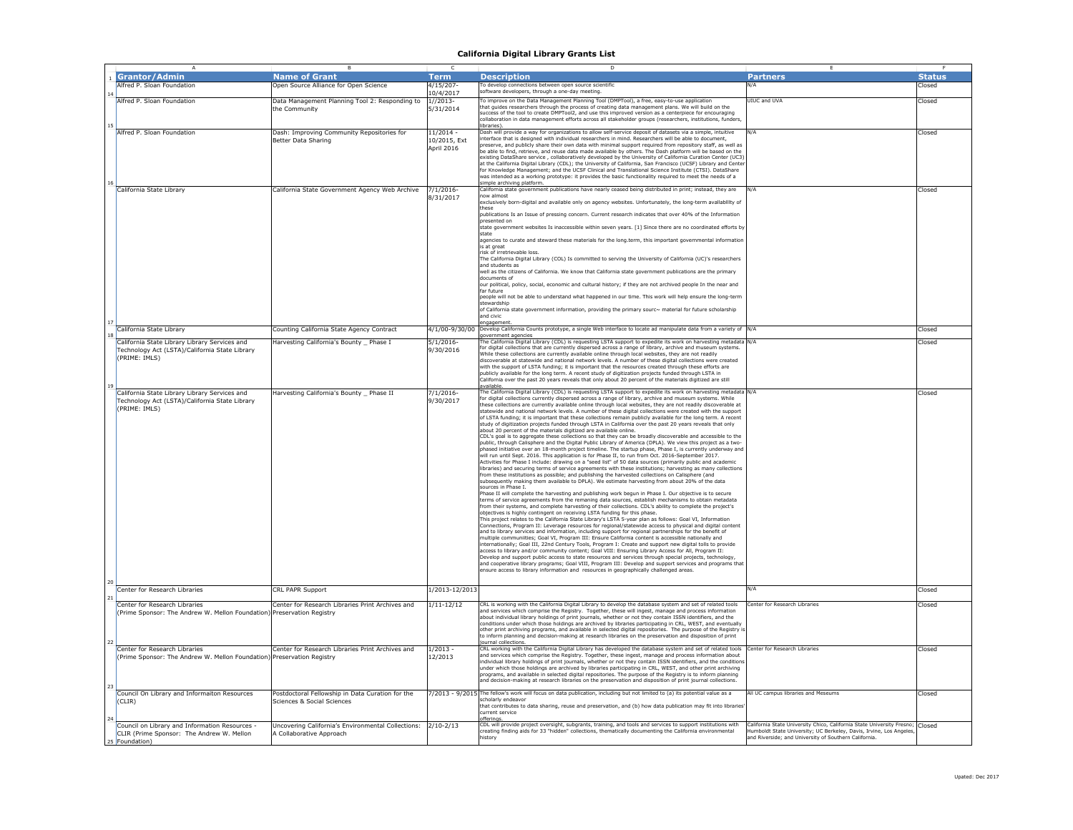|    | $\overline{A}$                                                         | B                                                  | c              | D                                                                                                                                                                                                                             |                                                                               |               |
|----|------------------------------------------------------------------------|----------------------------------------------------|----------------|-------------------------------------------------------------------------------------------------------------------------------------------------------------------------------------------------------------------------------|-------------------------------------------------------------------------------|---------------|
|    | <b>Grantor/Admin</b>                                                   | <b>Name of Grant</b>                               | Term           | <b>Description</b>                                                                                                                                                                                                            | <b>Partners</b>                                                               | <b>Status</b> |
|    | Alfred P. Sloan Foundation                                             | Open Source Alliance for Open Science              | 4/15/207       | To develop connections between open source scientific                                                                                                                                                                         |                                                                               | Closed        |
|    |                                                                        |                                                    | 10/4/2017      | oftware developers, through a one-day meeting                                                                                                                                                                                 |                                                                               |               |
|    |                                                                        |                                                    |                |                                                                                                                                                                                                                               | UIUC and UVA                                                                  |               |
|    | Alfred P. Sloan Foundation                                             | Data Management Planning Tool 2: Responding to     | $1//2013-$     | To improve on the Data Management Planning Tool (DMPTool), a free, easy-to-use application<br>that quides researchers through the process of creating data management plans. We will build on the                             |                                                                               | Closed        |
|    |                                                                        | the Community                                      | 5/31/2014      | success of the tool to create DMPTool2, and use this improved version as a centerpiece for encouraging                                                                                                                        |                                                                               |               |
|    |                                                                        |                                                    |                | ollaboration in data management efforts across all stakeholder groups (researchers, institutions, funders                                                                                                                     |                                                                               |               |
| 15 |                                                                        |                                                    |                | ibraries).                                                                                                                                                                                                                    |                                                                               |               |
|    | Alfred P. Sloan Foundation                                             | Dash: Improving Community Repositories for         | $11/2014 -$    | Dash will provide a way for organizations to allow self-service deposit of datasets via a simple, intuitive<br>interface that is designed with individual researchers in mind. Researchers will be able to document,          | N/A                                                                           | Closed        |
|    |                                                                        | Better Data Sharing                                | 10/2015, Ext   | preserve, and publicly share their own data with minimal support required from repository staff, as well as                                                                                                                   |                                                                               |               |
|    |                                                                        |                                                    | April 2016     | be able to find, retrieve, and reuse data made available by others. The Dash platform will be based on the                                                                                                                    |                                                                               |               |
|    |                                                                        |                                                    |                | [COI] existing DataShare service , collaboratively developed by the University of California Curation Center:                                                                                                                 |                                                                               |               |
|    |                                                                        |                                                    |                | at the California Digital Library (CDL): the University of California, San Francisco (UCSF) Library and Cente                                                                                                                 |                                                                               |               |
|    |                                                                        |                                                    |                | for Knowledge Management; and the UCSF Clinical and Translational Science Institute (CTSI). DataShare                                                                                                                         |                                                                               |               |
|    |                                                                        |                                                    |                | was intended as a working prototype: it provides the basic functionality required to meet the needs of a                                                                                                                      |                                                                               |               |
| 16 |                                                                        |                                                    |                | simple archiving platform<br>California state government publications have nearly ceased being distributed in print; instead, they are                                                                                        |                                                                               |               |
|    | California State Library                                               | California State Government Agency Web Archive     | 7/1/2016       | now almost                                                                                                                                                                                                                    |                                                                               | Closed        |
|    |                                                                        |                                                    | 8/31/2017      | exclusively born-digital and available only on agency websites. Unfortunately, the long-term availability of                                                                                                                  |                                                                               |               |
|    |                                                                        |                                                    |                | these                                                                                                                                                                                                                         |                                                                               |               |
|    |                                                                        |                                                    |                | publications Is an Issue of pressing concern. Current research indicates that over 40% of the Information                                                                                                                     |                                                                               |               |
|    |                                                                        |                                                    |                | presented on                                                                                                                                                                                                                  |                                                                               |               |
|    |                                                                        |                                                    |                | state government websites Is inaccessible within seven years. [1] Since there are no coordinated efforts by                                                                                                                   |                                                                               |               |
|    |                                                                        |                                                    |                | state                                                                                                                                                                                                                         |                                                                               |               |
|    |                                                                        |                                                    |                | agencies to curate and steward these materials for the long.term, this important governmental informatior                                                                                                                     |                                                                               |               |
|    |                                                                        |                                                    |                | is at great<br>risk of irretrievable loss.                                                                                                                                                                                    |                                                                               |               |
|    |                                                                        |                                                    |                | The California Digital Library (COL) Is committed to serving the University of California (UC)'s researchers                                                                                                                  |                                                                               |               |
|    |                                                                        |                                                    |                | and students as                                                                                                                                                                                                               |                                                                               |               |
|    |                                                                        |                                                    |                | well as the citizens of California. We know that California state government publications are the primary                                                                                                                     |                                                                               |               |
|    |                                                                        |                                                    |                | documents of                                                                                                                                                                                                                  |                                                                               |               |
|    |                                                                        |                                                    |                | our political, policy, social, economic and cultural history; if they are not archived people In the near and                                                                                                                 |                                                                               |               |
|    |                                                                        |                                                    |                | far future                                                                                                                                                                                                                    |                                                                               |               |
|    |                                                                        |                                                    |                | people will not be able to understand what happened in our time. This work will help ensure the long-term                                                                                                                     |                                                                               |               |
|    |                                                                        |                                                    |                | stewardship<br>of California state government information, providing the primary sourc~ material for future scholarship                                                                                                       |                                                                               |               |
|    |                                                                        |                                                    |                | and civic                                                                                                                                                                                                                     |                                                                               |               |
|    |                                                                        |                                                    |                | engagement                                                                                                                                                                                                                    |                                                                               |               |
|    | California State Library                                               | Counting California State Agency Contract          |                | 4/1/00-9/30/00 Develop California Counts prototype, a single Web interface to locate ad manipulate data from a variety of N/A                                                                                                 |                                                                               | Closed        |
|    |                                                                        |                                                    |                | overnment agencie                                                                                                                                                                                                             |                                                                               |               |
|    | California State Library Library Services and                          | Harvesting California's Bounty _ Phase I           | 5/1/2016       | The California Digital Library (CDL) is requesting LSTA support to expedite its work on harvesting metadata N/A<br>for digital collections that are currently dispersed across a range of library, archive and museum systems |                                                                               | Closed        |
|    | Technology Act (LSTA)/California State Library                         |                                                    | 9/30/2016      | While these collections are currently available online through local websites, they are not readily                                                                                                                           |                                                                               |               |
|    | (PRIME: IMLS)                                                          |                                                    |                | discoverable at statewide and national network levels. A number of these digital collections were created                                                                                                                     |                                                                               |               |
|    |                                                                        |                                                    |                | with the support of LSTA funding; it is important that the resources created through these efforts are                                                                                                                        |                                                                               |               |
|    |                                                                        |                                                    |                | publicly available for the long term. A recent study of digitization projects funded through LSTA in                                                                                                                          |                                                                               |               |
|    |                                                                        |                                                    |                | California over the past 20 years reveals that only about 20 percent of the materials digitized are still                                                                                                                     |                                                                               |               |
| 19 |                                                                        |                                                    |                | vailable.                                                                                                                                                                                                                     |                                                                               |               |
|    | California State Library Library Services and                          | Harvesting California's Bounty Phase II            | $7/1/2016$ -   | The California Digital Library (CDL) is requesting LSTA support to expedite its work on harvesting metadata N/A                                                                                                               |                                                                               | Closed        |
|    | Technology Act (LSTA)/California State Library                         |                                                    | 9/30/2017      | for digital collections currently dispersed across a range of library, archive and museum systems. While                                                                                                                      |                                                                               |               |
|    | (PRIME: IMLS)                                                          |                                                    |                | these collections are currently available online through local websites, they are not readily discoverable at<br>statewide and national network levels. A number of these digital collections were created with the support   |                                                                               |               |
|    |                                                                        |                                                    |                | of LSTA funding; it is important that these collections remain publicly available for the long term. A recent                                                                                                                 |                                                                               |               |
|    |                                                                        |                                                    |                | study of digitization projects funded through LSTA in California over the past 20 years reveals that only                                                                                                                     |                                                                               |               |
|    |                                                                        |                                                    |                | about 20 percent of the materials digitized are available online.                                                                                                                                                             |                                                                               |               |
|    |                                                                        |                                                    |                | CDL's goal is to aggregate these collections so that they can be broadly discoverable and accessible to the                                                                                                                   |                                                                               |               |
|    |                                                                        |                                                    |                | public, through Calisphere and the Digital Public Library of America (DPLA). We view this project as a two                                                                                                                    |                                                                               |               |
|    |                                                                        |                                                    |                | phased initiative over an 18-month project timeline. The startup phase, Phase I, is currently underway and                                                                                                                    |                                                                               |               |
|    |                                                                        |                                                    |                | will run until Sept. 2016. This application is for Phase II, to run from Oct. 2016-September 2017.                                                                                                                            |                                                                               |               |
|    |                                                                        |                                                    |                | Activities for Phase I include: drawing on a "seed list" of 50 data sources (primarily public and academic<br>libraries) and securing terms of service agreements with these institutions: harvesting as many collections     |                                                                               |               |
|    |                                                                        |                                                    |                | from these institutions as possible; and publishing the harvested collections on Calisphere (and                                                                                                                              |                                                                               |               |
|    |                                                                        |                                                    |                | ubsequently making them available to DPLA). We estimate harvesting from about 20% of the data                                                                                                                                 |                                                                               |               |
|    |                                                                        |                                                    |                | sources in Phase I.                                                                                                                                                                                                           |                                                                               |               |
|    |                                                                        |                                                    |                | Phase II will complete the harvesting and publishing work begun in Phase I. Our objective is to secure                                                                                                                        |                                                                               |               |
|    |                                                                        |                                                    |                | terms of service agreements from the remaning data sources, establish mechanisms to obtain metadata                                                                                                                           |                                                                               |               |
|    |                                                                        |                                                    |                | from their systems, and complete harvesting of their collections. CDL's ability to complete the project's                                                                                                                     |                                                                               |               |
|    |                                                                        |                                                    |                | objectives is highly contingent on receiving LSTA funding for this phase.                                                                                                                                                     |                                                                               |               |
|    |                                                                        |                                                    |                | This project relates to the California State Library's LSTA 5-year plan as follows: Goal VI, Information                                                                                                                      |                                                                               |               |
|    |                                                                        |                                                    |                | Connections, Program II: Leverage resources for regional/statewide access to physical and digital content<br>and to library services and information, including support for regional partnerships for the benefit of          |                                                                               |               |
|    |                                                                        |                                                    |                | multiple communiities; Goal VI, Program III: Ensure California content is accessible nationally and                                                                                                                           |                                                                               |               |
|    |                                                                        |                                                    |                | internationally; Goal III, 22nd Century Tools, Program I: Create and support new digital tolls to provide                                                                                                                     |                                                                               |               |
|    |                                                                        |                                                    |                | access to library and/or community content; Goal VIII: Ensuring Library Access for All, Program II:                                                                                                                           |                                                                               |               |
|    |                                                                        |                                                    |                | Develop and support public access to state resources and services through special projects, technology                                                                                                                        |                                                                               |               |
|    |                                                                        |                                                    |                | and cooperative library programs: Goal VIII, Program III: Develop and support services and programs that                                                                                                                      |                                                                               |               |
|    |                                                                        |                                                    |                | nsure access to library information and resources in geographically challenged areas.                                                                                                                                         |                                                                               |               |
| 20 |                                                                        |                                                    |                |                                                                                                                                                                                                                               |                                                                               |               |
|    | Center for Research Libraries                                          | <b>CRL PAPR Support</b>                            | 1/2013-12/2013 |                                                                                                                                                                                                                               | N/A                                                                           | Closed        |
|    |                                                                        |                                                    |                |                                                                                                                                                                                                                               |                                                                               |               |
|    | Center for Research Libraries                                          | Center for Research Libraries Print Archives and   | $1/11 - 12/12$ | CRL is working with the California Digital Library to develop the database system and set of related tools                                                                                                                    | enter for Research Libraries                                                  | Closed        |
|    | (Prime Sponsor: The Andrew W. Mellon Foundation) Preservation Registry |                                                    |                | and services which comprise the Registry. Together, these will ingest, manage and process information                                                                                                                         |                                                                               |               |
|    |                                                                        |                                                    |                | about individual library holdings of print journals, whether or not they contain ISSN identifiers, and the                                                                                                                    |                                                                               |               |
|    |                                                                        |                                                    |                | conditions under which those holdings are archived by libraries participating in CRL, WEST, and eventually                                                                                                                    |                                                                               |               |
|    |                                                                        |                                                    |                | other print archiving programs, and available in selected digital repositories. The purpose of the Registry i<br>to inform planning and decision-making at research libraries on the preservation and disposition of print    |                                                                               |               |
| 22 |                                                                        |                                                    |                | journal collections.                                                                                                                                                                                                          |                                                                               |               |
|    | Center for Research Libraries                                          | Center for Research Libraries Print Archives and   | $1/2013 -$     | CRL working with the California Digital Library has developed the database system and set of related tools                                                                                                                    | Center for Research Libraries                                                 | Closed        |
|    |                                                                        |                                                    | 12/2013        | and services which comprise the Registry. Together, these ingest, manage and process information about                                                                                                                        |                                                                               |               |
|    | (Prime Sponsor: The Andrew W. Mellon Foundation) Preservation Registry |                                                    |                | individual library holdings of print journals, whether or not they contain ISSN identifiers, and the condition                                                                                                                |                                                                               |               |
|    |                                                                        |                                                    |                | inder which those holdings are archived by libraries participating in CRL, WEST, and other print archiving                                                                                                                    |                                                                               |               |
|    |                                                                        |                                                    |                | programs, and available in selected digital repositories. The purpose of the Registry is to inform planning                                                                                                                   |                                                                               |               |
|    |                                                                        |                                                    |                | and decision-making at research libraries on the preservation and disposition of print journal collections.                                                                                                                   |                                                                               |               |
| 23 |                                                                        | Postdoctoral Fellowship in Data Curation for the   |                | 7/2013 - 9/2015 The fellow's work will focus on data publication, including but not limited to (a) its potential value as a                                                                                                   | All UC campus libraries and Meseums                                           | Closed        |
|    | Council On Library and Informaiton Resources<br>(CLIR)                 | Sciences & Social Sciences                         |                | scholarly endeavo                                                                                                                                                                                                             |                                                                               |               |
|    |                                                                        |                                                    |                | that contributes to data sharing, reuse and preservation, and (b) how data publication may fit into librarie                                                                                                                  |                                                                               |               |
|    |                                                                        |                                                    |                | current service                                                                                                                                                                                                               |                                                                               |               |
|    |                                                                        |                                                    |                | dfering ا                                                                                                                                                                                                                     |                                                                               |               |
|    | Council on Library and Information Resources -                         | Uncovering California's Environmental Collections: | $2/10 - 2/13$  | CDL will provide project oversight, subgrants, training, and tools and services to support institutions with                                                                                                                  | California State University Chico, California State University Fresno; Closed |               |
|    | CLIR (Prime Sponsor: The Andrew W. Mellon                              | A Collaborative Approach                           |                | creating finding aids for 33 "hidden" collections, thematically documenting the California environmental                                                                                                                      | Humboldt State University; UC Berkeley, Davis, Irvine, Los Angeles            |               |
|    | Foundation)                                                            |                                                    |                | history                                                                                                                                                                                                                       | and Riverside; and University of Southern California                          |               |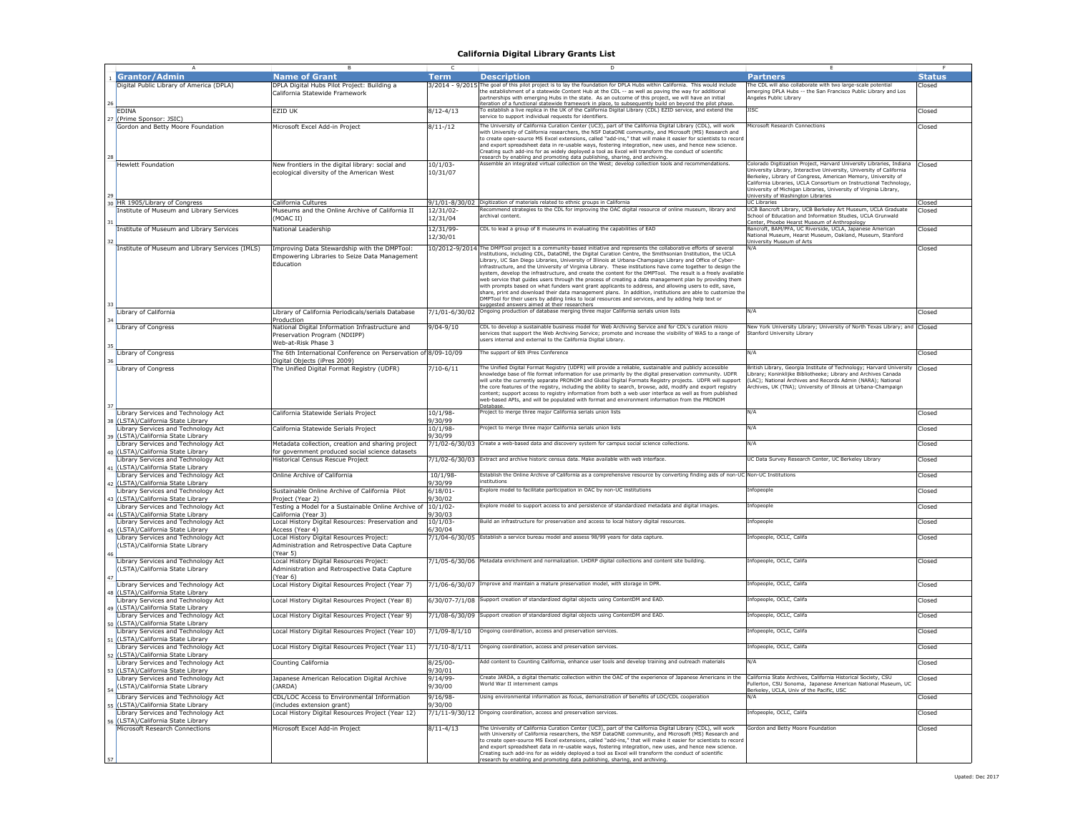|    | <b>Grantor/Admin</b>                            | <b>Name of Grant</b>                                           | <b>Term</b>        | <b>Description</b>                                                                                                                                                                                                      | <b>Partners</b>                                                                                                                     | <b>Status</b> |
|----|-------------------------------------------------|----------------------------------------------------------------|--------------------|-------------------------------------------------------------------------------------------------------------------------------------------------------------------------------------------------------------------------|-------------------------------------------------------------------------------------------------------------------------------------|---------------|
|    |                                                 |                                                                |                    |                                                                                                                                                                                                                         |                                                                                                                                     |               |
|    | Digital Public Library of America (DPLA)        | DPLA Digital Hubs Pilot Project: Building a                    |                    | 3/2014 - 9/2015 The goal of this pilot project is to lay the foundation for DPLA Hubs within California. This would include                                                                                             | The CDL will also collaborate with two large-scale potentia                                                                         | Closed        |
|    |                                                 | California Statewide Framework                                 |                    | he establishment of a statewide Content Hub at the CDL -- as well as paving the way for additional                                                                                                                      | nerging DPLA Hubs -- the San Francisco Public Library and Los                                                                       |               |
|    |                                                 |                                                                |                    | artnerships with emerging Hubs in the state. As an outcome of this project, we will have an initial                                                                                                                     | ngeles Public Library                                                                                                               |               |
| 26 |                                                 |                                                                |                    | teration of a functional statewide framework in place, to subsequently build on beyond the pilot phase.                                                                                                                 |                                                                                                                                     |               |
|    | <b>EDINA</b>                                    | EZID UK                                                        | $8/12 - 4/13$      | To establish a live replica in the UK of the California Digital Library (CDL) EZID service, and extend the                                                                                                              | ISC                                                                                                                                 | Closed        |
|    | 27 (Prime Sponsor: JSIC)                        |                                                                |                    | service to support individual requests for identifiers.                                                                                                                                                                 |                                                                                                                                     |               |
|    |                                                 | Microsoft Excel Add-in Project                                 | $8/11 - /12$       | The University of California Curation Center (UC3), part of the California Digital Library (CDL), will work                                                                                                             | <b>Nicrosoft Research Connections</b>                                                                                               | Closed        |
|    | Gordon and Betty Moore Foundation               |                                                                |                    |                                                                                                                                                                                                                         |                                                                                                                                     |               |
|    |                                                 |                                                                |                    | with University of California researchers, the NSF DataONE community, and Microsoft (MS) Research and<br>to create open-source MS Excel extensions, called "add-ins," that will make it easier for scientists to record |                                                                                                                                     |               |
|    |                                                 |                                                                |                    |                                                                                                                                                                                                                         |                                                                                                                                     |               |
|    |                                                 |                                                                |                    | and export spreadsheet data in re-usable ways, fostering integration, new uses, and hence new science.                                                                                                                  |                                                                                                                                     |               |
|    |                                                 |                                                                |                    | Creating such add-ins for as widely deployed a tool as Excel will transform the conduct of scientific                                                                                                                   |                                                                                                                                     |               |
| 28 |                                                 |                                                                |                    |                                                                                                                                                                                                                         |                                                                                                                                     |               |
|    | <b>Hewlett Foundation</b>                       | New frontiers in the digital library: social and               | 10/1/03            | research by enabling and promoting data publishing, sharing, and archiving.<br>Assemble an integrated virtual collection on the West; develop collection tools and recommendations.                                     | Colorado Digitization Project, Harvard University Libraries, Indiana                                                                | Closed        |
|    |                                                 |                                                                |                    |                                                                                                                                                                                                                         | Iniversity Library, Interactive University, University of California                                                                |               |
|    |                                                 | ecological diversity of the American West                      | 10/31/07           |                                                                                                                                                                                                                         |                                                                                                                                     |               |
|    |                                                 |                                                                |                    |                                                                                                                                                                                                                         | Berkeley, Library of Congress, American Memory, University of<br>California Libraries, UCLA Consortium on Instructional Technology. |               |
|    |                                                 |                                                                |                    |                                                                                                                                                                                                                         |                                                                                                                                     |               |
|    |                                                 |                                                                |                    |                                                                                                                                                                                                                         | Iniversity of Michigan Libraries, University of Virginia Library,                                                                   |               |
|    |                                                 |                                                                |                    |                                                                                                                                                                                                                         | <b>Jniversity of Washington Libraries</b>                                                                                           |               |
|    | 30 HR 1905/Library of Congress                  | California Cultures                                            |                    | 9/1/01-8/30/02 Digitization of materials related to ethnic groups in California                                                                                                                                         | <b>UC Libraries</b>                                                                                                                 | Closed        |
|    | Institute of Museum and Library Services        | Museums and the Online Archive of California II                | 12/31/02           | Recommend strategies to the CDL for improving the OAC digital resource of online museum, library and                                                                                                                    | UCB Bancroft Library, UCB Berkeley Art Museum, UCLA Graduate                                                                        | Closed        |
|    |                                                 |                                                                |                    | rchival content.                                                                                                                                                                                                        | School of Education and Information Studies, UCLA Grunwald                                                                          |               |
|    |                                                 | MOAC II)                                                       | 12/31/04           |                                                                                                                                                                                                                         | Center, Phoebe Hearst Museum of Anthropology                                                                                        |               |
|    |                                                 |                                                                |                    |                                                                                                                                                                                                                         |                                                                                                                                     |               |
|    | Institute of Museum and Library Services        | National Leadership                                            | 12/31/99           | CDL to lead a group of 8 museums in evaluating the capabilities of EAD                                                                                                                                                  | Bancroft, BAM/PFA, UC Riverside, UCLA, Japanese American                                                                            | Closed        |
|    |                                                 |                                                                | 12/30/01           |                                                                                                                                                                                                                         | Vational Museum, Hearst Museum, Oakland, Museum, Stanford                                                                           |               |
| 32 |                                                 |                                                                |                    |                                                                                                                                                                                                                         | Jniversity Museum of Arts                                                                                                           |               |
|    | Institute of Museum and Library Services (IMLS) | Improving Data Stewardship with the DMPTool:                   |                    | 10/2012-9/2014 The DMPTool project is a community-based initiative and represents the collaborative efforts of several                                                                                                  | V/A                                                                                                                                 | Closed        |
|    |                                                 |                                                                |                    | stitutions, including CDL, DataONE, the Digital Curation Centre, the Smithsonian Institution, the UCLA                                                                                                                  |                                                                                                                                     |               |
|    |                                                 | Empowering Libraries to Seize Data Management                  |                    | ibrary, UC San Diego Libraries, University of Illinois at Urbana-Champaign Library and Office of Cyber-                                                                                                                 |                                                                                                                                     |               |
|    |                                                 | Education                                                      |                    | infrastructure, and the University of Virginia Library. These institutions have come together to design the                                                                                                             |                                                                                                                                     |               |
|    |                                                 |                                                                |                    |                                                                                                                                                                                                                         |                                                                                                                                     |               |
|    |                                                 |                                                                |                    | system, develop the infrastructure, and create the content for the DMPTool. The result is a freely available                                                                                                            |                                                                                                                                     |               |
|    |                                                 |                                                                |                    | web service that guides users through the process of creating a data management plan by providing them                                                                                                                  |                                                                                                                                     |               |
|    |                                                 |                                                                |                    | with prompts based on what funders want grant applicants to address, and allowing users to edit, save,                                                                                                                  |                                                                                                                                     |               |
|    |                                                 |                                                                |                    | share, print and download their data management plans. In addition, institutions are able to customize the                                                                                                              |                                                                                                                                     |               |
|    |                                                 |                                                                |                    | DMPTool for their users by adding links to local resources and services, and by adding help text or                                                                                                                     |                                                                                                                                     |               |
| 33 |                                                 |                                                                |                    |                                                                                                                                                                                                                         |                                                                                                                                     |               |
|    |                                                 |                                                                |                    | suggested answers aimed at their researchers                                                                                                                                                                            |                                                                                                                                     |               |
|    | Library of California                           | Library of California Periodicals/serials Database             | 7/1/01-6/30/02     | Ongoing production of database merging three major California serials union lists                                                                                                                                       |                                                                                                                                     | Closed        |
|    |                                                 | Production                                                     |                    |                                                                                                                                                                                                                         |                                                                                                                                     |               |
|    | Library of Congress                             | National Digital Information Infrastructure and                | $9/04 - 9/10$      | CDL to develop a sustainable business model for Web Archiving Service and for CDL's curation micro                                                                                                                      | Vew York University Library; University of North Texas Library; and Closed                                                          |               |
|    |                                                 |                                                                |                    |                                                                                                                                                                                                                         |                                                                                                                                     |               |
|    |                                                 | Preservation Program (NDIIPP)                                  |                    | services that support the Web Archiving Service; promote and increase the visibility of WAS to a range of                                                                                                               | tanford University Library                                                                                                          |               |
|    |                                                 | Web-at-Risk Phase 3                                            |                    | users internal and external to the California Digital Library.                                                                                                                                                          |                                                                                                                                     |               |
| 35 |                                                 |                                                                |                    |                                                                                                                                                                                                                         |                                                                                                                                     |               |
|    | Library of Congress                             | The 6th International Conference on Perservation of 8/09-10/09 |                    | he support of 6th iPres Conference                                                                                                                                                                                      |                                                                                                                                     | Closed        |
|    |                                                 |                                                                |                    |                                                                                                                                                                                                                         |                                                                                                                                     |               |
| 36 |                                                 | Digital Objects (iPres 2009)                                   |                    |                                                                                                                                                                                                                         |                                                                                                                                     |               |
|    | Library of Congress                             | The Unified Digital Format Registry (UDFR)                     | $7/10 - 6/11$      | The Unified Digital Format Registry (UDFR) will provide a reliable, sustainable and publicly accessible                                                                                                                 | British Library, Georgia Institute of Technology; Harvard University                                                                | Closed        |
|    |                                                 |                                                                |                    | knowledge base of file format information for use primarily by the digital preservation community. UDFR                                                                                                                 | Library: Koninklijke Bibliotheeke: Library and Archives Canada                                                                      |               |
|    |                                                 |                                                                |                    | will unite the currently separate PRONOM and Global Digital Formats Registry projects. UDFR will support                                                                                                                | (LAC); National Archives and Records Admin (NARA); National                                                                         |               |
|    |                                                 |                                                                |                    | the core features of the registry, including the ability to search, browse, add, modify and export registry                                                                                                             | rchives, UK (TNA); University of Illinois at Urbana-Champaign                                                                       |               |
|    |                                                 |                                                                |                    |                                                                                                                                                                                                                         |                                                                                                                                     |               |
|    |                                                 |                                                                |                    | content; support access to registry information from both a web user interface as well as from published<br>web-based APIs, and will be populated with format and environment information from the PRONOM               |                                                                                                                                     |               |
|    |                                                 |                                                                |                    |                                                                                                                                                                                                                         |                                                                                                                                     |               |
| 37 |                                                 |                                                                |                    | Database.                                                                                                                                                                                                               |                                                                                                                                     |               |
|    | Library Services and Technology Act             | California Statewide Serials Project                           | 10/1/98            | roject to merge three major California serials union lists                                                                                                                                                              | N/A                                                                                                                                 | Closed        |
|    | 38 (LSTA)/California State Library              |                                                                | 9/30/99            |                                                                                                                                                                                                                         |                                                                                                                                     |               |
|    |                                                 |                                                                |                    |                                                                                                                                                                                                                         | N/A                                                                                                                                 |               |
|    | Library Services and Technology Act             | California Statewide Serials Project                           | 10/1/98            | Project to merge three major California serials union lists                                                                                                                                                             |                                                                                                                                     | Closed        |
|    | 39 (LSTA)/California State Library              |                                                                | 9/30/99            |                                                                                                                                                                                                                         |                                                                                                                                     |               |
|    | Library Services and Technology Act             | Metadata collection, creation and sharing project              | 7/1/02-6/30/03     | Create a web-based data and discovery system for campus social science collections.                                                                                                                                     | VA                                                                                                                                  | Closed        |
|    |                                                 |                                                                |                    |                                                                                                                                                                                                                         |                                                                                                                                     |               |
|    | (LSTA)/California State Library                 | for government produced social science datasets                |                    |                                                                                                                                                                                                                         |                                                                                                                                     |               |
|    | Library Services and Technology Act             | Historical Census Rescue Project                               | 7/1/02-6/30/03     | Extract and archive historic census data. Make available with web interface.                                                                                                                                            | JC Data Survey Research Center, UC Berkeley Library                                                                                 | Closed        |
|    |                                                 |                                                                |                    |                                                                                                                                                                                                                         |                                                                                                                                     |               |
|    | 41 (LSTA)/California State Library              |                                                                |                    |                                                                                                                                                                                                                         |                                                                                                                                     |               |
|    | Library Services and Technology Act             | Online Archive of California                                   | $10/1/98 -$        | Establish the Online Archive of California as a comprehensive resource by converting finding aids of non-UC Non-UC Institutions                                                                                         |                                                                                                                                     | Closed        |
|    | 42 (LSTA)/California State Library              |                                                                | /30/99             | nstitutions                                                                                                                                                                                                             |                                                                                                                                     |               |
|    |                                                 |                                                                |                    |                                                                                                                                                                                                                         |                                                                                                                                     |               |
|    | Library Services and Technology Act             | Sustainable Online Archive of California Pilot                 | 6/18/01            | Explore model to facilitate participation in OAC by non-UC institutions                                                                                                                                                 | infopeople                                                                                                                          | Closed        |
|    | 43 (LSTA)/California State Library              | Project (Year 2)                                               | 9/30/02            |                                                                                                                                                                                                                         |                                                                                                                                     |               |
|    |                                                 |                                                                |                    |                                                                                                                                                                                                                         |                                                                                                                                     |               |
|    | Library Services and Technology Act             | Festing a Model for a Sustainable Online Archive o             | 10/1/02            | xplore model to support access to and persistence of standardized metadata and digital images.                                                                                                                          | nfopeople                                                                                                                           | Closed        |
|    | 44 (LSTA)/California State Library              | California (Year 3)                                            | 9/30/03            |                                                                                                                                                                                                                         |                                                                                                                                     |               |
|    | Library Services and Technology Act             | Local History Digital Resources: Preservation and              | 10/1/03            | Build an infrastructure for preservation and access to local history digital resources.                                                                                                                                 | infopeople                                                                                                                          | Closed        |
|    |                                                 |                                                                |                    |                                                                                                                                                                                                                         |                                                                                                                                     |               |
|    | 45 (LSTA)/California State Library              | Access (Year 4)                                                | /30/04             |                                                                                                                                                                                                                         |                                                                                                                                     |               |
|    | Library Services and Technology Act             | Local History Digital Resources Project:                       |                    | 7/1/04-6/30/05 Establish a service bureau model and assess 98/99 years for data capture.                                                                                                                                | Infopeople, OCLC, Califa                                                                                                            | Closed        |
|    |                                                 |                                                                |                    |                                                                                                                                                                                                                         |                                                                                                                                     |               |
|    | (LSTA)/California State Library                 | Administration and Retrospective Data Capture                  |                    |                                                                                                                                                                                                                         |                                                                                                                                     |               |
|    |                                                 | Year 5)                                                        |                    |                                                                                                                                                                                                                         |                                                                                                                                     |               |
|    | Library Services and Technology Act             |                                                                |                    | 7/1/05-6/30/06 Metadata enrichment and normalization. LHDRP digital collections and content site building.                                                                                                              | infopeople, OCLC, Califa                                                                                                            | Closed        |
|    |                                                 | Local History Digital Resources Project:                       |                    |                                                                                                                                                                                                                         |                                                                                                                                     |               |
|    | (LSTA)/California State Library                 | Administration and Retrospective Data Capture                  |                    |                                                                                                                                                                                                                         |                                                                                                                                     |               |
|    |                                                 | Year 6)                                                        |                    |                                                                                                                                                                                                                         |                                                                                                                                     |               |
|    |                                                 |                                                                |                    | 7/1/06-6/30/07 Improve and maintain a mature preservation model, with storage in DPR.                                                                                                                                   | Infopeople, OCLC, Califa                                                                                                            | Closed        |
|    | Library Services and Technology Act             | Local History Digital Resources Project (Year 7)               |                    |                                                                                                                                                                                                                         |                                                                                                                                     |               |
|    | 48 (LSTA)/California State Library              |                                                                |                    |                                                                                                                                                                                                                         |                                                                                                                                     |               |
|    | Library Services and Technology Act             | Local History Digital Resources Project (Year 8)               | $6/30/07 - 7/1/08$ | Support creation of standardized digital objects using ContentDM and EAD.                                                                                                                                               | nfopeople, OCLC, Califa                                                                                                             | Closed        |
|    |                                                 |                                                                |                    |                                                                                                                                                                                                                         |                                                                                                                                     |               |
|    | 49 (LSTA)/California State Library              |                                                                |                    |                                                                                                                                                                                                                         |                                                                                                                                     |               |
|    | Library Services and Technology Act             | Local History Digital Resources Project (Year 9)               | 7/1/08-6/30/09     | Support creation of standardized digital objects using ContentDM and EAD.                                                                                                                                               | Infopeople, OCLC, Califa                                                                                                            | Closed        |
|    | (LSTA)/California State Library                 |                                                                |                    |                                                                                                                                                                                                                         |                                                                                                                                     |               |
| 50 |                                                 |                                                                |                    |                                                                                                                                                                                                                         |                                                                                                                                     |               |
|    | Library Services and Technology Act             | Local History Digital Resources Project (Year 10)              | 7/1/09-8/1/10      | Ongoing coordination, access and preservation services.                                                                                                                                                                 | infopeople, OCLC, Califa                                                                                                            | Closed        |
|    | 51 (LSTA)/California State Library              |                                                                |                    |                                                                                                                                                                                                                         |                                                                                                                                     |               |
|    |                                                 |                                                                |                    | Inqoing coordination, access and preservation services.                                                                                                                                                                 | nfopeople, OCLC, Califa                                                                                                             |               |
|    | Library Services and Technology Act             | Local History Digital Resources Project (Year 11)              | $7/1/10-8/1/11$    |                                                                                                                                                                                                                         |                                                                                                                                     | Closed        |
|    | 52 (LSTA)/California State Library              |                                                                |                    |                                                                                                                                                                                                                         |                                                                                                                                     |               |
|    | Library Services and Technology Act             | Counting California                                            | $8/25/00 -$        | Add content to Counting California, enhance user tools and develop training and outreach materials                                                                                                                      | N/A                                                                                                                                 | Closed        |
|    |                                                 |                                                                |                    |                                                                                                                                                                                                                         |                                                                                                                                     |               |
|    | 53 (LSTA)/California State Library              |                                                                | 9/30/01            |                                                                                                                                                                                                                         |                                                                                                                                     |               |
|    | Library Services and Technology Act             | Japanese American Relocation Digital Archive                   | 9/14/99            | Create JARDA, a digital thematic collection within the OAC of the experience of Japanese Americans in the                                                                                                               | California State Archives, California Historical Society, CSU                                                                       | Closed        |
|    |                                                 |                                                                |                    | World War II internment camps                                                                                                                                                                                           | Fullerton, CSU Sonoma, Japanese American National Museum, UC                                                                        |               |
|    | (LSTA)/California State Library                 | (JARDA)                                                        | 9/30/00            |                                                                                                                                                                                                                         | Berkeley, UCLA, Univ of the Pacific, USC                                                                                            |               |
|    |                                                 |                                                                |                    |                                                                                                                                                                                                                         |                                                                                                                                     |               |
|    | Library Services and Technology Act             | CDL/LOC Access to Environmental Information                    | $9/16/98 -$        | Using environmental information as focus, demonstration of benefits of LOC/CDL cooperation                                                                                                                              |                                                                                                                                     | Closed        |
|    | 55 (LSTA)/California State Library              | includes extension grant)                                      | 9/30/00            |                                                                                                                                                                                                                         |                                                                                                                                     |               |
|    |                                                 |                                                                | 7/1/11-9/30/12     | Ongoing coordination, access and preservation services.                                                                                                                                                                 | nfopeople, OCLC, Califa                                                                                                             | Closed        |
|    | Library Services and Technology Act             | ocal History Digital Resources Project (Year 12)               |                    |                                                                                                                                                                                                                         |                                                                                                                                     |               |
|    | 56 (LSTA)/California State Library              |                                                                |                    |                                                                                                                                                                                                                         |                                                                                                                                     |               |
|    | Microsoft Research Connections                  | Microsoft Excel Add-in Project                                 | $8/11 - 4/13$      | he University of California Curation Center (UC3), part of the California Digital Library (CDL), will work                                                                                                              | Gordon and Betty Moore Foundation                                                                                                   | Closed        |
|    |                                                 |                                                                |                    | with University of California researchers, the NSF DataONE community, and Microsoft (MS) Research and                                                                                                                   |                                                                                                                                     |               |
|    |                                                 |                                                                |                    | to create open-source MS Excel extensions, called "add-ins," that will make it easier for scientists to record                                                                                                          |                                                                                                                                     |               |
|    |                                                 |                                                                |                    |                                                                                                                                                                                                                         |                                                                                                                                     |               |
|    |                                                 |                                                                |                    | and export spreadsheet data in re-usable ways, fostering integration, new uses, and hence new science.                                                                                                                  |                                                                                                                                     |               |
|    |                                                 |                                                                |                    | Creating such add-ins for as widely deployed a tool as Excel will transform the conduct of scientific                                                                                                                   |                                                                                                                                     |               |
|    |                                                 |                                                                |                    | search by enabling and promoting data publishing, sharing, and archiving                                                                                                                                                |                                                                                                                                     |               |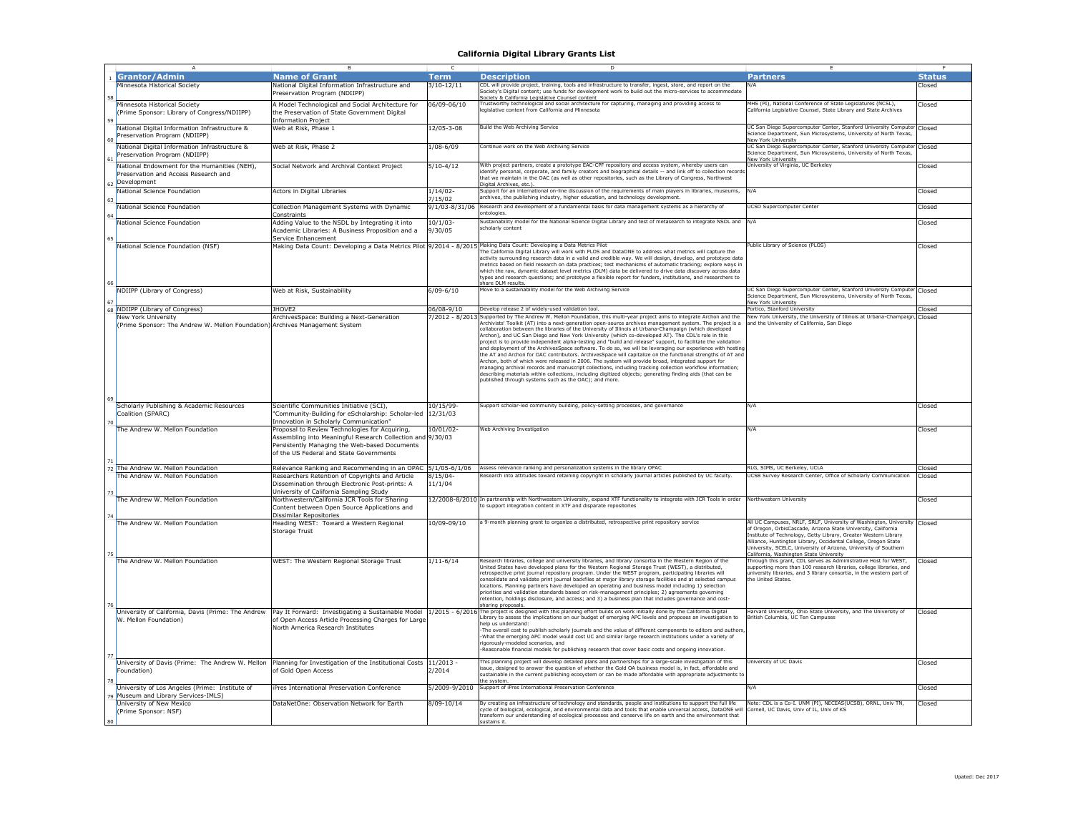|    | $\overline{A}$                                                                                     | B                                                                                                                                                                                                                                                  | c                      | D                                                                                                                                                                                                                                                                                                                                                                                                                                                                                                                                                                                                                                                                                                                                                                                                                                                                                                                                                                                                                                                                                                                                                                                      |                                                                                                                                                                                                                                                                                                                                                                                              |               |
|----|----------------------------------------------------------------------------------------------------|----------------------------------------------------------------------------------------------------------------------------------------------------------------------------------------------------------------------------------------------------|------------------------|----------------------------------------------------------------------------------------------------------------------------------------------------------------------------------------------------------------------------------------------------------------------------------------------------------------------------------------------------------------------------------------------------------------------------------------------------------------------------------------------------------------------------------------------------------------------------------------------------------------------------------------------------------------------------------------------------------------------------------------------------------------------------------------------------------------------------------------------------------------------------------------------------------------------------------------------------------------------------------------------------------------------------------------------------------------------------------------------------------------------------------------------------------------------------------------|----------------------------------------------------------------------------------------------------------------------------------------------------------------------------------------------------------------------------------------------------------------------------------------------------------------------------------------------------------------------------------------------|---------------|
|    | <b>Grantor/Admin</b>                                                                               | <b>Name of Grant</b>                                                                                                                                                                                                                               | Term                   | <b>Description</b>                                                                                                                                                                                                                                                                                                                                                                                                                                                                                                                                                                                                                                                                                                                                                                                                                                                                                                                                                                                                                                                                                                                                                                     | <b>Partners</b>                                                                                                                                                                                                                                                                                                                                                                              | <b>Status</b> |
|    | Minnesota Historical Society                                                                       | National Digital Information Infrastructure and<br>Preservation Program (NDIIPP)                                                                                                                                                                   | $3/10 - 12/11$         | DL will provide project, training, tools and infrastructure to transfer, ingest, store, and report on the<br>ociety's Digital content; use funds for development work to build out the micro-services to accommodate                                                                                                                                                                                                                                                                                                                                                                                                                                                                                                                                                                                                                                                                                                                                                                                                                                                                                                                                                                   |                                                                                                                                                                                                                                                                                                                                                                                              | Closed        |
| 58 | Minnesota Historical Society<br>(Prime Sponsor: Library of Congress/NDIIPP)                        | A Model Technological and Social Architecture for<br>the Preservation of State Government Digital                                                                                                                                                  | 06/09-06/10            | ociety & California Legislative Counsel content<br>rustworthy technological and social architecture for capturing, managing and providing access to<br>qislative content from California and Minnesota                                                                                                                                                                                                                                                                                                                                                                                                                                                                                                                                                                                                                                                                                                                                                                                                                                                                                                                                                                                 | MHS (PI), National Conference of State Legislatures (NCSL),<br>California Legislative Counsel, State Library and State Archives                                                                                                                                                                                                                                                              | Closed        |
|    | National Digital Information Infrastructure &<br>Preservation Program (NDIIPP)                     | <b>Information Project</b><br>Web at Risk, Phase 1                                                                                                                                                                                                 | 12/05-3-08             | Build the Web Archiving Service                                                                                                                                                                                                                                                                                                                                                                                                                                                                                                                                                                                                                                                                                                                                                                                                                                                                                                                                                                                                                                                                                                                                                        | UC San Diego Supercomputer Center, Stanford University Computer Closed<br>Science Department, Sun Microsystems, University of North Texas,                                                                                                                                                                                                                                                   |               |
|    | National Digital Information Infrastructure &<br>Preservation Program (NDIIPP)                     | Web at Risk, Phase 2                                                                                                                                                                                                                               | $1/08 - 6/09$          | Continue work on the Web Archiving Service                                                                                                                                                                                                                                                                                                                                                                                                                                                                                                                                                                                                                                                                                                                                                                                                                                                                                                                                                                                                                                                                                                                                             | New York University<br>UC San Diego Supercomputer Center, Stanford University Computer<br>Science Department, Sun Microsystems, University of North Texas,                                                                                                                                                                                                                                   | Closed        |
|    | National Endowment for the Humanities (NEH),<br>Preservation and Access Research and               | Social Network and Archival Context Project                                                                                                                                                                                                        | $5/10-4/12$            | With project partners, create a prototype EAC-CPF repository and access system, whereby users can<br>dentify personal, corporate, and family creators and biographical details -- and link off to collection record<br>hat we maintain in the OAC (as well as other repositories, such as the Library of Congress, Northwest                                                                                                                                                                                                                                                                                                                                                                                                                                                                                                                                                                                                                                                                                                                                                                                                                                                           | New York University<br>University of Virginia, UC Berkeley                                                                                                                                                                                                                                                                                                                                   | Closed        |
|    | Development<br>National Science Foundation                                                         | Actors in Digital Libraries                                                                                                                                                                                                                        | 1/14/02<br>7/15/02     | Digital Archives, etc.)<br>upport for an international on-line discussion of the requirements of main players in libraries, museums,<br>archives, the publishing industry, higher education, and technology development                                                                                                                                                                                                                                                                                                                                                                                                                                                                                                                                                                                                                                                                                                                                                                                                                                                                                                                                                                | N/A                                                                                                                                                                                                                                                                                                                                                                                          | Closed        |
|    | National Science Foundation                                                                        | Collection Management Systems with Dynamic<br>Constraints                                                                                                                                                                                          | 9/1/03-8/31/06         | Research and development of a fundamental basis for data management systems as a hierarchy of<br>ntologies                                                                                                                                                                                                                                                                                                                                                                                                                                                                                                                                                                                                                                                                                                                                                                                                                                                                                                                                                                                                                                                                             | UCSD Supercomputer Center                                                                                                                                                                                                                                                                                                                                                                    | Closed        |
|    | National Science Foundation                                                                        | Adding Value to the NSDL by Integrating it into<br>Academic Libraries: A Business Proposition and a                                                                                                                                                | $10/1/03 -$<br>9/30/05 | Sustainability model for the National Science Digital Library and test of metasearch to integrate NSDL and N/A<br>cholarly content                                                                                                                                                                                                                                                                                                                                                                                                                                                                                                                                                                                                                                                                                                                                                                                                                                                                                                                                                                                                                                                     |                                                                                                                                                                                                                                                                                                                                                                                              | Closed        |
| 65 | National Science Foundation (NSF)                                                                  | Service Enhancement<br>Making Data Count: Developing a Data Metrics Pilot 9/2014 - 8/2015 Making Data Count: Developing a Data Metrics Pilot                                                                                                       |                        | The California Digital Library will work with PLOS and DataONE to address what metrics will capture the<br>activity surrounding research data in a valid and credible way. We will design, develop, and prototype data<br>metrics based on field research on data practices: test mechanisms of automatic tracking: explore ways in<br>which the raw, dynamic dataset level metrics (DLM) data be delivered to drive data discovery across data<br>types and research questions; and prototype a flexible report for funders, institutions, and researchers to                                                                                                                                                                                                                                                                                                                                                                                                                                                                                                                                                                                                                         | Public Library of Science (PLOS)                                                                                                                                                                                                                                                                                                                                                             | Closed        |
| 67 | NDIIPP (Library of Congress)                                                                       | Web at Risk, Sustainability                                                                                                                                                                                                                        | $6/09 - 6/10$          | share DLM results.<br>Move to a sustainability model for the Web Archiving Service                                                                                                                                                                                                                                                                                                                                                                                                                                                                                                                                                                                                                                                                                                                                                                                                                                                                                                                                                                                                                                                                                                     | UC San Diego Supercomputer Center, Stanford University Computer Closed<br>Science Department, Sun Microsystems, University of North Texas,<br>New York University                                                                                                                                                                                                                            |               |
|    | 68 NDIIPP (Library of Congress)                                                                    | JHOVE2                                                                                                                                                                                                                                             | 06/08-9/10             | Develop release 2 of widely-used validation tool.                                                                                                                                                                                                                                                                                                                                                                                                                                                                                                                                                                                                                                                                                                                                                                                                                                                                                                                                                                                                                                                                                                                                      | Portico, Stanford University                                                                                                                                                                                                                                                                                                                                                                 | Closed        |
|    | New York University<br>(Prime Sponsor: The Andrew W. Mellon Foundation) Archives Management System | ArchivesSpace: Building a Next-Generation                                                                                                                                                                                                          |                        | 7/2012 - 8/2013 Supported by The Andrew W. Mellon Foundation, this multi-year project aims to integrate Archon and the<br>rchivists' Toolkit (AT) into a next-generation open-source archives management system. The project is a<br>collaboration between the libraries of the University of Illinois at Urbana-Champaign (which developed<br>Archon), and UC San Diego and New York University (which co-developed AT). The CDL's role in this<br>project is to provide independent alpha-testing and "build and release" support, to facilitate the validation<br>and deployment of the ArchivesSpace software. To do so, we will be leveraging our experience with hostine<br>the AT and Archon for OAC contributors. ArchivesSpace will capitalize on the functional strengths of AT and<br>Archon, both of which were released in 2006. The system will provide broad, integrated support for<br>nanaging archival records and manuscript collections, including tracking collection workflow information;<br>describing materials within collections, including digitized objects; generating finding aids (that can be<br>published through systems such as the OAC); and more | New York University, the University of Illinois at Urbana-Champaign, Closed<br>and the University of California, San Diego                                                                                                                                                                                                                                                                   |               |
|    | Scholarly Publishing & Academic Resources<br>Coalition (SPARC)                                     | Scientific Communities Initiative (SCI),<br>'Community-Building for eScholarship: Scholar-led                                                                                                                                                      | 10/15/99-<br>12/31/03  | Support scholar-led community building, policy-setting processes, and governance                                                                                                                                                                                                                                                                                                                                                                                                                                                                                                                                                                                                                                                                                                                                                                                                                                                                                                                                                                                                                                                                                                       | N/A                                                                                                                                                                                                                                                                                                                                                                                          | Closed        |
|    | The Andrew W. Mellon Foundation                                                                    | Innovation in Scholarly Communication"<br>Proposal to Review Technologies for Acquiring,<br>Assembling into Meaningful Research Collection and 9/30/03<br>Persistently Managing the Web-based Documents<br>of the US Federal and State Governments | 10/01/02-              | Web Archiving Investigation                                                                                                                                                                                                                                                                                                                                                                                                                                                                                                                                                                                                                                                                                                                                                                                                                                                                                                                                                                                                                                                                                                                                                            | N/A                                                                                                                                                                                                                                                                                                                                                                                          | Closed        |
|    | The Andrew W. Mellon Foundation                                                                    |                                                                                                                                                                                                                                                    |                        | Relevance Ranking and Recommending in an OPAC 5/1/05-6/1/06 Assess relevance ranking and personalization systems in the library OPAC                                                                                                                                                                                                                                                                                                                                                                                                                                                                                                                                                                                                                                                                                                                                                                                                                                                                                                                                                                                                                                                   | RLG, SIMS, UC Berkeley, UCLA                                                                                                                                                                                                                                                                                                                                                                 | Closed        |
|    | The Andrew W. Mellon Foundation                                                                    | Researchers Retention of Copyrights and Article<br>Dissemination through Electronic Post-prints: A<br>University of California Sampling Study                                                                                                      | $8/15/04 -$<br>11/1/04 | Research into attitudes toward retaining copyright in scholarly journal articles published by UC faculty.                                                                                                                                                                                                                                                                                                                                                                                                                                                                                                                                                                                                                                                                                                                                                                                                                                                                                                                                                                                                                                                                              | UCSB Survey Research Center, Office of Scholarly Communication                                                                                                                                                                                                                                                                                                                               | Closed        |
|    | The Andrew W. Mellon Foundation                                                                    | Northwestern/California JCR Tools for Sharing<br>Content between Open Source Applications and<br>Dissimilar Repositories                                                                                                                           |                        | 12/2008-8/2010 In partnership with Northwestern University, expand XTF functionality to integrate with JCR Tools in order Northwestern University<br>o support integration content in XTF and disparate repositories                                                                                                                                                                                                                                                                                                                                                                                                                                                                                                                                                                                                                                                                                                                                                                                                                                                                                                                                                                   |                                                                                                                                                                                                                                                                                                                                                                                              | Closed        |
|    | The Andrew W. Mellon Foundation                                                                    | Heading WEST: Toward a Western Regional<br>Storage Trust                                                                                                                                                                                           | 10/09-09/10            | a 9-month planning grant to organize a distributed, retrospective print repository service                                                                                                                                                                                                                                                                                                                                                                                                                                                                                                                                                                                                                                                                                                                                                                                                                                                                                                                                                                                                                                                                                             | All UC Campuses, NRLF, SRLF, University of Washington, University Closed<br>of Oregon, OrbisCascade, Arizona State University, California<br>Institute of Technology, Getty Library, Greater Western Library<br>Alliance, Huntington Library, Occidental College, Oregon State<br>University, SCELC, University of Arizona, University of Southern<br>alifornia, Washington State University |               |
|    | The Andrew W. Mellon Foundation                                                                    | WEST: The Western Regional Storage Trust                                                                                                                                                                                                           | $1/11 - 6/14$          | Research libraries, college and university libraries, and library consortia in the Western Region of the<br>nited States have developed plans for the Western Regional Storage Trust (WEST), a distributed.<br>retrospective print journal repository program. Under the WEST program, participating libraries will<br>onsolidate and validate print journal backfiles at major library storage facilities and at selected campus<br>ocations. Planning partners have developed an operating and business model including 1) selection<br>riorities and validation standards based on risk-management principles; 2) agreements governing<br>etention, holdings disclosure, and access; and 3) a business plan that includes governance and cost-<br>haring proposals.                                                                                                                                                                                                                                                                                                                                                                                                                 | Through this grant, CDL serves as Administrative Host for WEST,<br>supporting more than 100 research libraries, college libraries, and<br>iniversity libraries, and 3 library consortia, in the western part of<br>he United States.                                                                                                                                                         | Closed        |
|    | University of California, Davis (Prime: The Andrew<br>W. Mellon Foundation)                        | of Open Access Article Processing Charges for Large<br>North America Research Institutes                                                                                                                                                           |                        | Pay It Forward: Investigating a Sustainable Model  1/2015 - 6/2016 The project is designed with this planning effort builds on work initially done by the California Digital<br>Library to assess the implications on our budget of emerging APC levels and proposes an investigation to<br>elp us understand:<br>The overall cost to publish scholarly journals and the value of different components to editors and authors<br>What the emerging APC model would cost UC and similar large research institutions under a variety of<br>igorously-modeled scenarios, and<br>Reasonable financial models for publishing research that cover basic costs and ongoing innovation.                                                                                                                                                                                                                                                                                                                                                                                                                                                                                                        | Harvard University, Ohio State University, and The University of<br>British Columbia, UC Ten Campuses                                                                                                                                                                                                                                                                                        | Closed        |
|    | Foundation)                                                                                        | University of Davis (Prime: The Andrew W. Mellon Planning for Investigation of the Institutional Costs 11/2013 -<br>of Gold Open Access                                                                                                            | 2/2014                 | This planning project will develop detailed plans and partnerships for a large-scale investigation of this<br>ssue, designed to answer the question of whether the Gold OA business model is, in fact, affordable and<br>sustainable in the current publishing ecosystem or can be made affordable with appropriate adjustments to                                                                                                                                                                                                                                                                                                                                                                                                                                                                                                                                                                                                                                                                                                                                                                                                                                                     | University of UC Davis                                                                                                                                                                                                                                                                                                                                                                       | Closed        |
|    | University of Los Angeles (Prime: Institute of<br>Museum and Library Services-IMLS)                | Pres International Preservation Conference                                                                                                                                                                                                         | 5/2009-9/2010          | the system<br>Support of iPres International Preservation Conference                                                                                                                                                                                                                                                                                                                                                                                                                                                                                                                                                                                                                                                                                                                                                                                                                                                                                                                                                                                                                                                                                                                   | N/A                                                                                                                                                                                                                                                                                                                                                                                          | Closed        |
|    | University of New Mexico<br>(Prime Sponsor: NSF)                                                   | DataNetOne: Observation Network for Earth                                                                                                                                                                                                          | 8/09-10/14             | By creating an infrastructure of technology and standards, people and institutions to support the full life<br>ycle of biological, ecological, and environmental data and tools that enable universal access, DataONE will<br>ransform our understanding of ecological processes and conserve life on earth and the environment that                                                                                                                                                                                                                                                                                                                                                                                                                                                                                                                                                                                                                                                                                                                                                                                                                                                   | Note: CDL is a Co-I. UNM (PI), NECEAS(UCSB), ORNL, Univ TN,<br>Cornell, UC Davis, Univ of IL, Univ of KS                                                                                                                                                                                                                                                                                     | Closed        |